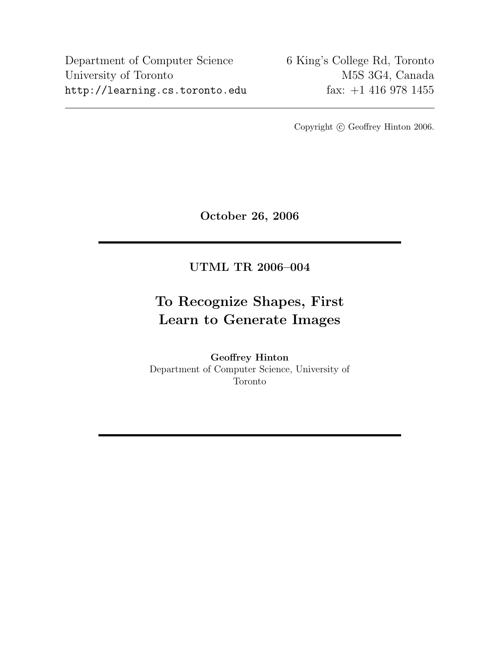Department of Computer Science 6 King's College Rd, Toronto University of Toronto M5S 3G4, Canada http://learning.cs.toronto.edu fax: +1 416 978 1455

Copyright  $\odot$  Geoffrey Hinton 2006.

October 26, 2006

### UTML TR 2006–004

# To Recognize Shapes, First Learn to Generate Images

Geoffrey Hinton Department of Computer Science, University of Toronto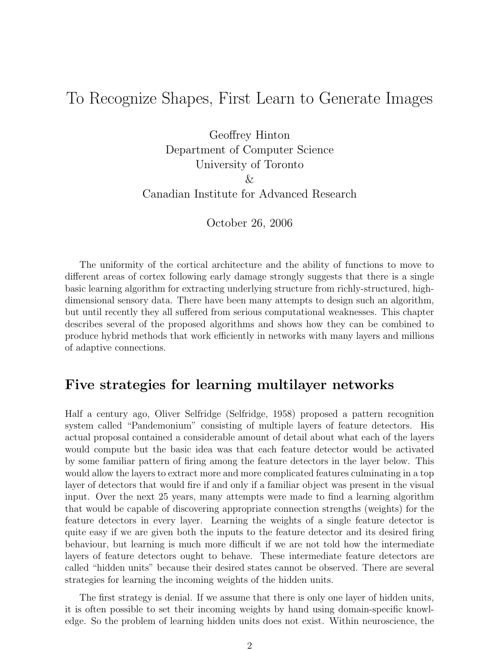## To Recognize Shapes, First Learn to Generate Images

Geoffrey Hinton Department of Computer Science University of Toronto  $\&$ Canadian Institute for Advanced Research

October 26, 2006

The uniformity of the cortical architecture and the ability of functions to move to different areas of cortex following early damage strongly suggests that there is a single basic learning algorithm for extracting underlying structure from richly-structured, highdimensional sensory data. There have been many attempts to design such an algorithm, but until recently they all suffered from serious computational weaknesses. This chapter describes several of the proposed algorithms and shows how they can be combined to produce hybrid methods that work efficiently in networks with many layers and millions of adaptive connections.

#### Five strategies for learning multilayer networks

Half a century ago, Oliver Selfridge (Selfridge, 1958) proposed a pattern recognition system called "Pandemonium" consisting of multiple layers of feature detectors. His actual proposal contained a considerable amount of detail about what each of the layers would compute but the basic idea was that each feature detector would be activated by some familiar pattern of firing among the feature detectors in the layer below. This would allow the layers to extract more and more complicated features culminating in a top layer of detectors that would fire if and only if a familiar object was present in the visual input. Over the next 25 years, many attempts were made to find a learning algorithm that would be capable of discovering appropriate connection strengths (weights) for the feature detectors in every layer. Learning the weights of a single feature detector is quite easy if we are given both the inputs to the feature detector and its desired firing behaviour, but learning is much more difficult if we are not told how the intermediate layers of feature detectors ought to behave. These intermediate feature detectors are called "hidden units" because their desired states cannot be observed. There are several strategies for learning the incoming weights of the hidden units.

The first strategy is denial. If we assume that there is only one layer of hidden units, it is often possible to set their incoming weights by hand using domain-specific knowledge. So the problem of learning hidden units does not exist. Within neuroscience, the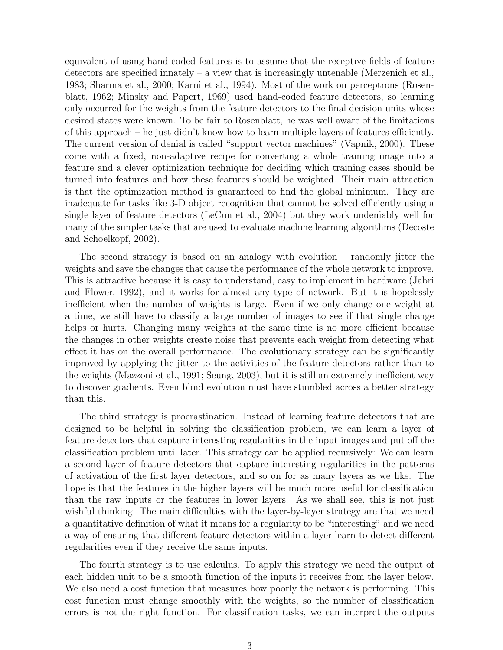equivalent of using hand-coded features is to assume that the receptive fields of feature detectors are specified innately – a view that is increasingly untenable (Merzenich et al., 1983; Sharma et al., 2000; Karni et al., 1994). Most of the work on perceptrons (Rosenblatt, 1962; Minsky and Papert, 1969) used hand-coded feature detectors, so learning only occurred for the weights from the feature detectors to the final decision units whose desired states were known. To be fair to Rosenblatt, he was well aware of the limitations of this approach – he just didn't know how to learn multiple layers of features efficiently. The current version of denial is called "support vector machines" (Vapnik, 2000). These come with a fixed, non-adaptive recipe for converting a whole training image into a feature and a clever optimization technique for deciding which training cases should be turned into features and how these features should be weighted. Their main attraction is that the optimization method is guaranteed to find the global minimum. They are inadequate for tasks like 3-D object recognition that cannot be solved efficiently using a single layer of feature detectors (LeCun et al., 2004) but they work undeniably well for many of the simpler tasks that are used to evaluate machine learning algorithms (Decoste and Schoelkopf, 2002).

The second strategy is based on an analogy with evolution – randomly jitter the weights and save the changes that cause the performance of the whole network to improve. This is attractive because it is easy to understand, easy to implement in hardware (Jabri and Flower, 1992), and it works for almost any type of network. But it is hopelessly inefficient when the number of weights is large. Even if we only change one weight at a time, we still have to classify a large number of images to see if that single change helps or hurts. Changing many weights at the same time is no more efficient because the changes in other weights create noise that prevents each weight from detecting what effect it has on the overall performance. The evolutionary strategy can be significantly improved by applying the jitter to the activities of the feature detectors rather than to the weights (Mazzoni et al., 1991; Seung, 2003), but it is still an extremely inefficient way to discover gradients. Even blind evolution must have stumbled across a better strategy than this.

The third strategy is procrastination. Instead of learning feature detectors that are designed to be helpful in solving the classification problem, we can learn a layer of feature detectors that capture interesting regularities in the input images and put off the classification problem until later. This strategy can be applied recursively: We can learn a second layer of feature detectors that capture interesting regularities in the patterns of activation of the first layer detectors, and so on for as many layers as we like. The hope is that the features in the higher layers will be much more useful for classification than the raw inputs or the features in lower layers. As we shall see, this is not just wishful thinking. The main difficulties with the layer-by-layer strategy are that we need a quantitative definition of what it means for a regularity to be "interesting" and we need a way of ensuring that different feature detectors within a layer learn to detect different regularities even if they receive the same inputs.

The fourth strategy is to use calculus. To apply this strategy we need the output of each hidden unit to be a smooth function of the inputs it receives from the layer below. We also need a cost function that measures how poorly the network is performing. This cost function must change smoothly with the weights, so the number of classification errors is not the right function. For classification tasks, we can interpret the outputs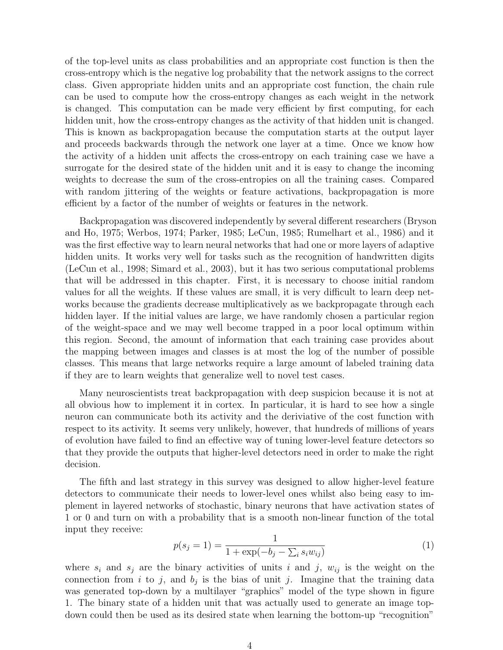of the top-level units as class probabilities and an appropriate cost function is then the cross-entropy which is the negative log probability that the network assigns to the correct class. Given appropriate hidden units and an appropriate cost function, the chain rule can be used to compute how the cross-entropy changes as each weight in the network is changed. This computation can be made very efficient by first computing, for each hidden unit, how the cross-entropy changes as the activity of that hidden unit is changed. This is known as backpropagation because the computation starts at the output layer and proceeds backwards through the network one layer at a time. Once we know how the activity of a hidden unit affects the cross-entropy on each training case we have a surrogate for the desired state of the hidden unit and it is easy to change the incoming weights to decrease the sum of the cross-entropies on all the training cases. Compared with random jittering of the weights or feature activations, backpropagation is more efficient by a factor of the number of weights or features in the network.

Backpropagation was discovered independently by several different researchers (Bryson and Ho, 1975; Werbos, 1974; Parker, 1985; LeCun, 1985; Rumelhart et al., 1986) and it was the first effective way to learn neural networks that had one or more layers of adaptive hidden units. It works very well for tasks such as the recognition of handwritten digits (LeCun et al., 1998; Simard et al., 2003), but it has two serious computational problems that will be addressed in this chapter. First, it is necessary to choose initial random values for all the weights. If these values are small, it is very difficult to learn deep networks because the gradients decrease multiplicatively as we backpropagate through each hidden layer. If the initial values are large, we have randomly chosen a particular region of the weight-space and we may well become trapped in a poor local optimum within this region. Second, the amount of information that each training case provides about the mapping between images and classes is at most the log of the number of possible classes. This means that large networks require a large amount of labeled training data if they are to learn weights that generalize well to novel test cases.

Many neuroscientists treat backpropagation with deep suspicion because it is not at all obvious how to implement it in cortex. In particular, it is hard to see how a single neuron can communicate both its activity and the deriviative of the cost function with respect to its activity. It seems very unlikely, however, that hundreds of millions of years of evolution have failed to find an effective way of tuning lower-level feature detectors so that they provide the outputs that higher-level detectors need in order to make the right decision.

The fifth and last strategy in this survey was designed to allow higher-level feature detectors to communicate their needs to lower-level ones whilst also being easy to implement in layered networks of stochastic, binary neurons that have activation states of 1 or 0 and turn on with a probability that is a smooth non-linear function of the total input they receive:

$$
p(s_j = 1) = \frac{1}{1 + \exp(-b_j - \sum_i s_i w_{ij})}
$$
(1)

where  $s_i$  and  $s_j$  are the binary activities of units i and j,  $w_{ij}$  is the weight on the connection from i to j, and  $b_j$  is the bias of unit j. Imagine that the training data was generated top-down by a multilayer "graphics" model of the type shown in figure 1. The binary state of a hidden unit that was actually used to generate an image topdown could then be used as its desired state when learning the bottom-up "recognition"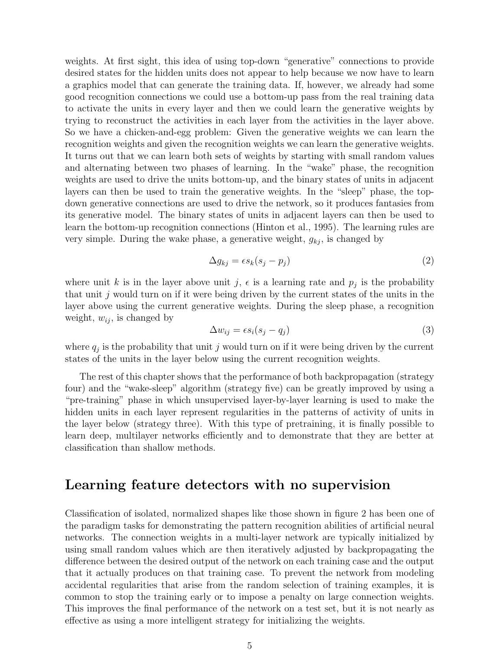weights. At first sight, this idea of using top-down "generative" connections to provide desired states for the hidden units does not appear to help because we now have to learn a graphics model that can generate the training data. If, however, we already had some good recognition connections we could use a bottom-up pass from the real training data to activate the units in every layer and then we could learn the generative weights by trying to reconstruct the activities in each layer from the activities in the layer above. So we have a chicken-and-egg problem: Given the generative weights we can learn the recognition weights and given the recognition weights we can learn the generative weights. It turns out that we can learn both sets of weights by starting with small random values and alternating between two phases of learning. In the "wake" phase, the recognition weights are used to drive the units bottom-up, and the binary states of units in adjacent layers can then be used to train the generative weights. In the "sleep" phase, the topdown generative connections are used to drive the network, so it produces fantasies from its generative model. The binary states of units in adjacent layers can then be used to learn the bottom-up recognition connections (Hinton et al., 1995). The learning rules are very simple. During the wake phase, a generative weight,  $g_{kj}$ , is changed by

$$
\Delta g_{kj} = \epsilon s_k (s_j - p_j) \tag{2}
$$

where unit k is in the layer above unit j,  $\epsilon$  is a learning rate and  $p_j$  is the probability that unit  $j$  would turn on if it were being driven by the current states of the units in the layer above using the current generative weights. During the sleep phase, a recognition weight,  $w_{ij}$ , is changed by

$$
\Delta w_{ij} = \epsilon s_i (s_j - q_j) \tag{3}
$$

where  $q_j$  is the probability that unit j would turn on if it were being driven by the current states of the units in the layer below using the current recognition weights.

The rest of this chapter shows that the performance of both backpropagation (strategy four) and the "wake-sleep" algorithm (strategy five) can be greatly improved by using a "pre-training" phase in which unsupervised layer-by-layer learning is used to make the hidden units in each layer represent regularities in the patterns of activity of units in the layer below (strategy three). With this type of pretraining, it is finally possible to learn deep, multilayer networks efficiently and to demonstrate that they are better at classification than shallow methods.

### Learning feature detectors with no supervision

Classification of isolated, normalized shapes like those shown in figure 2 has been one of the paradigm tasks for demonstrating the pattern recognition abilities of artificial neural networks. The connection weights in a multi-layer network are typically initialized by using small random values which are then iteratively adjusted by backpropagating the difference between the desired output of the network on each training case and the output that it actually produces on that training case. To prevent the network from modeling accidental regularities that arise from the random selection of training examples, it is common to stop the training early or to impose a penalty on large connection weights. This improves the final performance of the network on a test set, but it is not nearly as effective as using a more intelligent strategy for initializing the weights.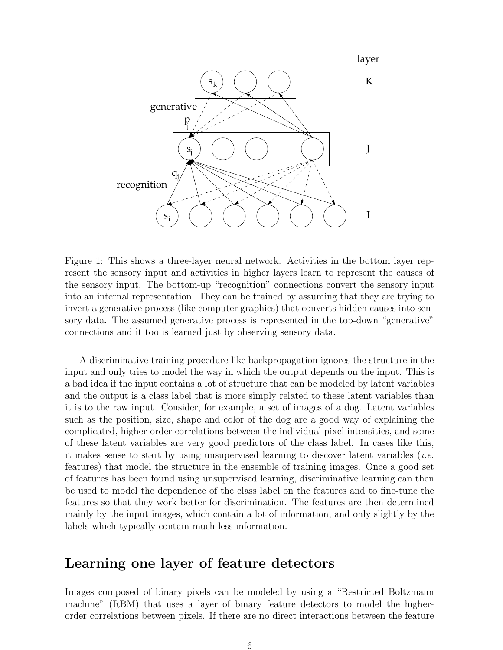

Figure 1: This shows a three-layer neural network. Activities in the bottom layer represent the sensory input and activities in higher layers learn to represent the causes of the sensory input. The bottom-up "recognition" connections convert the sensory input into an internal representation. They can be trained by assuming that they are trying to invert a generative process (like computer graphics) that converts hidden causes into sensory data. The assumed generative process is represented in the top-down "generative" connections and it too is learned just by observing sensory data.

A discriminative training procedure like backpropagation ignores the structure in the input and only tries to model the way in which the output depends on the input. This is a bad idea if the input contains a lot of structure that can be modeled by latent variables and the output is a class label that is more simply related to these latent variables than it is to the raw input. Consider, for example, a set of images of a dog. Latent variables such as the position, size, shape and color of the dog are a good way of explaining the complicated, higher-order correlations between the individual pixel intensities, and some of these latent variables are very good predictors of the class label. In cases like this, it makes sense to start by using unsupervised learning to discover latent variables *(i.e.*) features) that model the structure in the ensemble of training images. Once a good set of features has been found using unsupervised learning, discriminative learning can then be used to model the dependence of the class label on the features and to fine-tune the features so that they work better for discrimination. The features are then determined mainly by the input images, which contain a lot of information, and only slightly by the labels which typically contain much less information.

#### Learning one layer of feature detectors

Images composed of binary pixels can be modeled by using a "Restricted Boltzmann machine" (RBM) that uses a layer of binary feature detectors to model the higherorder correlations between pixels. If there are no direct interactions between the feature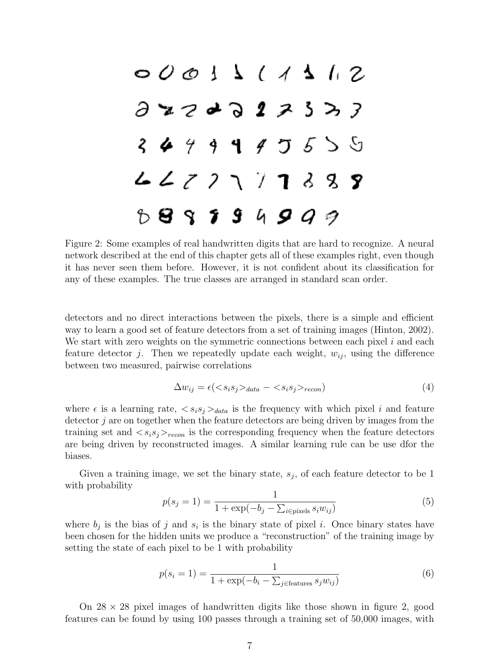

Figure 2: Some examples of real handwritten digits that are hard to recognize. A neural network described at the end of this chapter gets all of these examples right, even though it has never seen them before. However, it is not confident about its classification for any of these examples. The true classes are arranged in standard scan order.

detectors and no direct interactions between the pixels, there is a simple and efficient way to learn a good set of feature detectors from a set of training images (Hinton, 2002). We start with zero weights on the symmetric connections between each pixel  $i$  and each feature detector j. Then we repeatedly update each weight,  $w_{ij}$ , using the difference between two measured, pairwise correlations

$$
\Delta w_{ij} = \epsilon \left( \langle s_i s_j \rangle_{data} - \langle s_i s_j \rangle_{recon} \right) \tag{4}
$$

where  $\epsilon$  is a learning rate,  $\langle s_i s_j \rangle_{data}$  is the frequency with which pixel i and feature detector j are on together when the feature detectors are being driven by images from the training set and  $\langle s_i s_j \rangle_{recon}$  is the corresponding frequency when the feature detectors are being driven by reconstructed images. A similar learning rule can be use dfor the biases.

Given a training image, we set the binary state,  $s_j$ , of each feature detector to be 1 with probability

$$
p(s_j = 1) = \frac{1}{1 + \exp(-b_j - \sum_{i \in \text{pixels}} s_i w_{ij})}
$$
\n
$$
(5)
$$

where  $b_j$  is the bias of j and  $s_i$  is the binary state of pixel i. Once binary states have been chosen for the hidden units we produce a "reconstruction" of the training image by setting the state of each pixel to be 1 with probability

$$
p(s_i = 1) = \frac{1}{1 + \exp(-b_i - \sum_{j \in \text{features}} s_j w_{ij})}
$$
(6)

On  $28 \times 28$  pixel images of handwritten digits like those shown in figure 2, good features can be found by using 100 passes through a training set of 50,000 images, with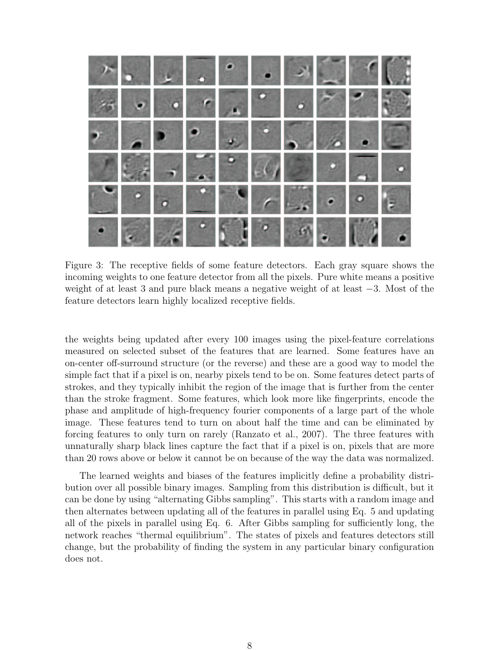

Figure 3: The receptive fields of some feature detectors. Each gray square shows the incoming weights to one feature detector from all the pixels. Pure white means a positive weight of at least 3 and pure black means a negative weight of at least −3. Most of the feature detectors learn highly localized receptive fields.

the weights being updated after every 100 images using the pixel-feature correlations measured on selected subset of the features that are learned. Some features have an on-center off-surround structure (or the reverse) and these are a good way to model the simple fact that if a pixel is on, nearby pixels tend to be on. Some features detect parts of strokes, and they typically inhibit the region of the image that is further from the center than the stroke fragment. Some features, which look more like fingerprints, encode the phase and amplitude of high-frequency fourier components of a large part of the whole image. These features tend to turn on about half the time and can be eliminated by forcing features to only turn on rarely (Ranzato et al., 2007). The three features with unnaturally sharp black lines capture the fact that if a pixel is on, pixels that are more than 20 rows above or below it cannot be on because of the way the data was normalized.

The learned weights and biases of the features implicitly define a probability distribution over all possible binary images. Sampling from this distribution is difficult, but it can be done by using "alternating Gibbs sampling". This starts with a random image and then alternates between updating all of the features in parallel using Eq. 5 and updating all of the pixels in parallel using Eq. 6. After Gibbs sampling for sufficiently long, the network reaches "thermal equilibrium". The states of pixels and features detectors still change, but the probability of finding the system in any particular binary configuration does not.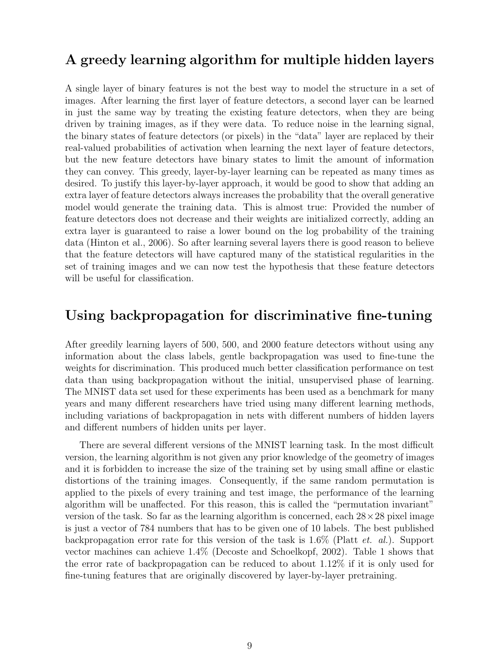### A greedy learning algorithm for multiple hidden layers

A single layer of binary features is not the best way to model the structure in a set of images. After learning the first layer of feature detectors, a second layer can be learned in just the same way by treating the existing feature detectors, when they are being driven by training images, as if they were data. To reduce noise in the learning signal, the binary states of feature detectors (or pixels) in the "data" layer are replaced by their real-valued probabilities of activation when learning the next layer of feature detectors, but the new feature detectors have binary states to limit the amount of information they can convey. This greedy, layer-by-layer learning can be repeated as many times as desired. To justify this layer-by-layer approach, it would be good to show that adding an extra layer of feature detectors always increases the probability that the overall generative model would generate the training data. This is almost true: Provided the number of feature detectors does not decrease and their weights are initialized correctly, adding an extra layer is guaranteed to raise a lower bound on the log probability of the training data (Hinton et al., 2006). So after learning several layers there is good reason to believe that the feature detectors will have captured many of the statistical regularities in the set of training images and we can now test the hypothesis that these feature detectors will be useful for classification.

### Using backpropagation for discriminative fine-tuning

After greedily learning layers of 500, 500, and 2000 feature detectors without using any information about the class labels, gentle backpropagation was used to fine-tune the weights for discrimination. This produced much better classification performance on test data than using backpropagation without the initial, unsupervised phase of learning. The MNIST data set used for these experiments has been used as a benchmark for many years and many different researchers have tried using many different learning methods, including variations of backpropagation in nets with different numbers of hidden layers and different numbers of hidden units per layer.

There are several different versions of the MNIST learning task. In the most difficult version, the learning algorithm is not given any prior knowledge of the geometry of images and it is forbidden to increase the size of the training set by using small affine or elastic distortions of the training images. Consequently, if the same random permutation is applied to the pixels of every training and test image, the performance of the learning algorithm will be unaffected. For this reason, this is called the "permutation invariant" version of the task. So far as the learning algorithm is concerned, each  $28 \times 28$  pixel image is just a vector of 784 numbers that has to be given one of 10 labels. The best published backpropagation error rate for this version of the task is  $1.6\%$  (Platt *et. al.*). Support vector machines can achieve 1.4% (Decoste and Schoelkopf, 2002). Table 1 shows that the error rate of backpropagation can be reduced to about 1.12% if it is only used for fine-tuning features that are originally discovered by layer-by-layer pretraining.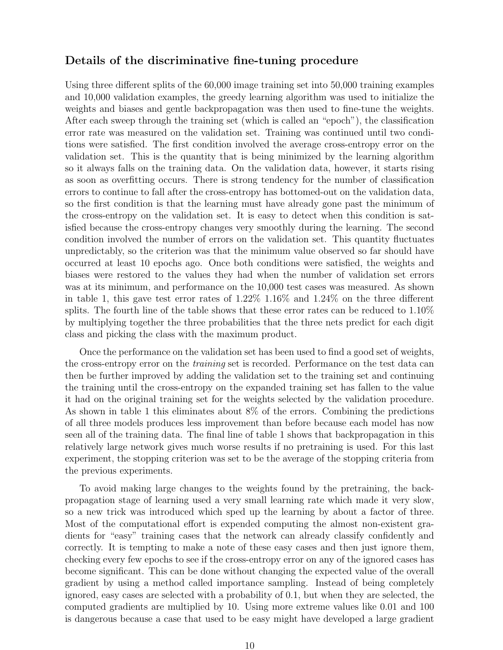#### Details of the discriminative fine-tuning procedure

Using three different splits of the 60,000 image training set into 50,000 training examples and 10,000 validation examples, the greedy learning algorithm was used to initialize the weights and biases and gentle backpropagation was then used to fine-tune the weights. After each sweep through the training set (which is called an "epoch"), the classification error rate was measured on the validation set. Training was continued until two conditions were satisfied. The first condition involved the average cross-entropy error on the validation set. This is the quantity that is being minimized by the learning algorithm so it always falls on the training data. On the validation data, however, it starts rising as soon as overfitting occurs. There is strong tendency for the number of classification errors to continue to fall after the cross-entropy has bottomed-out on the validation data, so the first condition is that the learning must have already gone past the minimum of the cross-entropy on the validation set. It is easy to detect when this condition is satisfied because the cross-entropy changes very smoothly during the learning. The second condition involved the number of errors on the validation set. This quantity fluctuates unpredictably, so the criterion was that the minimum value observed so far should have occurred at least 10 epochs ago. Once both conditions were satisfied, the weights and biases were restored to the values they had when the number of validation set errors was at its minimum, and performance on the 10,000 test cases was measured. As shown in table 1, this gave test error rates of 1.22% 1.16% and 1.24% on the three different splits. The fourth line of the table shows that these error rates can be reduced to 1.10% by multiplying together the three probabilities that the three nets predict for each digit class and picking the class with the maximum product.

Once the performance on the validation set has been used to find a good set of weights, the cross-entropy error on the *training* set is recorded. Performance on the test data can then be further improved by adding the validation set to the training set and continuing the training until the cross-entropy on the expanded training set has fallen to the value it had on the original training set for the weights selected by the validation procedure. As shown in table 1 this eliminates about 8% of the errors. Combining the predictions of all three models produces less improvement than before because each model has now seen all of the training data. The final line of table 1 shows that backpropagation in this relatively large network gives much worse results if no pretraining is used. For this last experiment, the stopping criterion was set to be the average of the stopping criteria from the previous experiments.

To avoid making large changes to the weights found by the pretraining, the backpropagation stage of learning used a very small learning rate which made it very slow, so a new trick was introduced which sped up the learning by about a factor of three. Most of the computational effort is expended computing the almost non-existent gradients for "easy" training cases that the network can already classify confidently and correctly. It is tempting to make a note of these easy cases and then just ignore them, checking every few epochs to see if the cross-entropy error on any of the ignored cases has become significant. This can be done without changing the expected value of the overall gradient by using a method called importance sampling. Instead of being completely ignored, easy cases are selected with a probability of 0.1, but when they are selected, the computed gradients are multiplied by 10. Using more extreme values like 0.01 and 100 is dangerous because a case that used to be easy might have developed a large gradient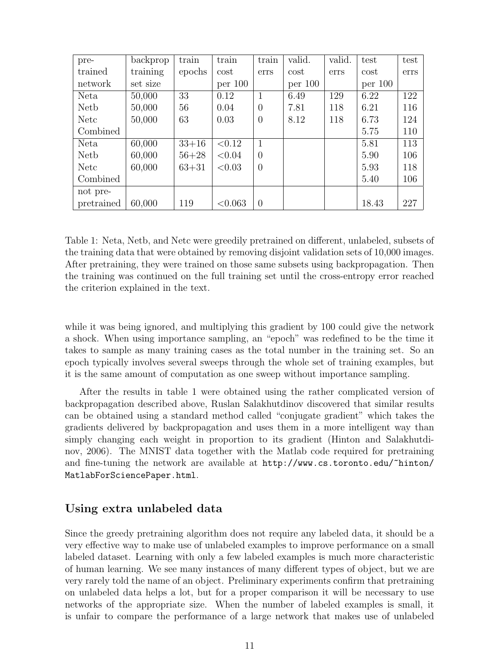| pre-        | backprop | train     | train   | train          | valid.    | valid. | test      | test |
|-------------|----------|-----------|---------|----------------|-----------|--------|-----------|------|
| trained     | training | epochs    | cost    | errs           | cost      | errs   | cost      | errs |
| network     | set size |           | per 100 |                | $per$ 100 |        | $per$ 100 |      |
| <b>Neta</b> | 50,000   | 33        | 0.12    | $\mathbf{1}$   | 6.49      | 129    | 6.22      | 122  |
| <b>Neth</b> | 50,000   | 56        | 0.04    | $\overline{0}$ | 7.81      | 118    | 6.21      | 116  |
| <b>Netc</b> | 50,000   | 63        | 0.03    | $\overline{0}$ | 8.12      | 118    | 6.73      | 124  |
| Combined    |          |           |         |                |           |        | 5.75      | 110  |
| Neta        | 60,000   | $33 + 16$ | < 0.12  | 1              |           |        | 5.81      | 113  |
| <b>Neth</b> | 60,000   | $56 + 28$ | < 0.04  | $\theta$       |           |        | 5.90      | 106  |
| <b>Netc</b> | 60,000   | $63 + 31$ | < 0.03  | $\overline{0}$ |           |        | 5.93      | 118  |
| Combined    |          |           |         |                |           |        | 5.40      | 106  |
| not pre-    |          |           |         |                |           |        |           |      |
| pretrained  | 60,000   | 119       | < 0.063 | $\theta$       |           |        | 18.43     | 227  |

Table 1: Neta, Netb, and Netc were greedily pretrained on different, unlabeled, subsets of the training data that were obtained by removing disjoint validation sets of 10,000 images. After pretraining, they were trained on those same subsets using backpropagation. Then the training was continued on the full training set until the cross-entropy error reached the criterion explained in the text.

while it was being ignored, and multiplying this gradient by 100 could give the network a shock. When using importance sampling, an "epoch" was redefined to be the time it takes to sample as many training cases as the total number in the training set. So an epoch typically involves several sweeps through the whole set of training examples, but it is the same amount of computation as one sweep without importance sampling.

After the results in table 1 were obtained using the rather complicated version of backpropagation described above, Ruslan Salakhutdinov discovered that similar results can be obtained using a standard method called "conjugate gradient" which takes the gradients delivered by backpropagation and uses them in a more intelligent way than simply changing each weight in proportion to its gradient (Hinton and Salakhutdinov, 2006). The MNIST data together with the Matlab code required for pretraining and fine-tuning the network are available at http://www.cs.toronto.edu/~hinton/ MatlabForSciencePaper.html.

#### Using extra unlabeled data

Since the greedy pretraining algorithm does not require any labeled data, it should be a very effective way to make use of unlabeled examples to improve performance on a small labeled dataset. Learning with only a few labeled examples is much more characteristic of human learning. We see many instances of many different types of object, but we are very rarely told the name of an object. Preliminary experiments confirm that pretraining on unlabeled data helps a lot, but for a proper comparison it will be necessary to use networks of the appropriate size. When the number of labeled examples is small, it is unfair to compare the performance of a large network that makes use of unlabeled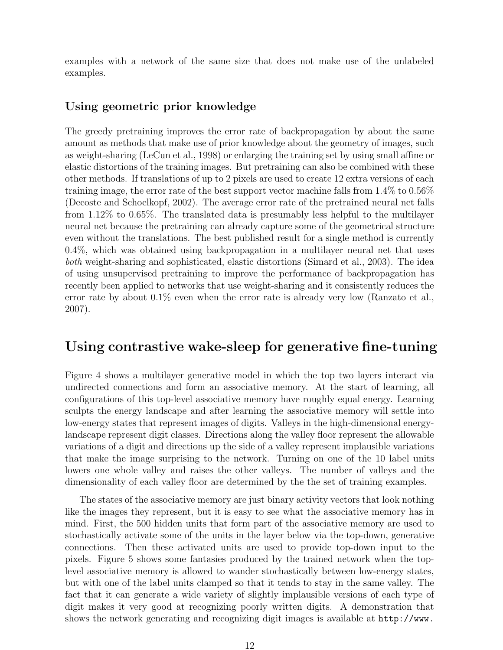examples with a network of the same size that does not make use of the unlabeled examples.

#### Using geometric prior knowledge

The greedy pretraining improves the error rate of backpropagation by about the same amount as methods that make use of prior knowledge about the geometry of images, such as weight-sharing (LeCun et al., 1998) or enlarging the training set by using small affine or elastic distortions of the training images. But pretraining can also be combined with these other methods. If translations of up to 2 pixels are used to create 12 extra versions of each training image, the error rate of the best support vector machine falls from 1.4% to 0.56% (Decoste and Schoelkopf, 2002). The average error rate of the pretrained neural net falls from 1.12% to 0.65%. The translated data is presumably less helpful to the multilayer neural net because the pretraining can already capture some of the geometrical structure even without the translations. The best published result for a single method is currently 0.4%, which was obtained using backpropagation in a multilayer neural net that uses both weight-sharing and sophisticated, elastic distortions (Simard et al., 2003). The idea of using unsupervised pretraining to improve the performance of backpropagation has recently been applied to networks that use weight-sharing and it consistently reduces the error rate by about 0.1% even when the error rate is already very low (Ranzato et al., 2007).

### Using contrastive wake-sleep for generative fine-tuning

Figure 4 shows a multilayer generative model in which the top two layers interact via undirected connections and form an associative memory. At the start of learning, all configurations of this top-level associative memory have roughly equal energy. Learning sculpts the energy landscape and after learning the associative memory will settle into low-energy states that represent images of digits. Valleys in the high-dimensional energylandscape represent digit classes. Directions along the valley floor represent the allowable variations of a digit and directions up the side of a valley represent implausible variations that make the image surprising to the network. Turning on one of the 10 label units lowers one whole valley and raises the other valleys. The number of valleys and the dimensionality of each valley floor are determined by the the set of training examples.

The states of the associative memory are just binary activity vectors that look nothing like the images they represent, but it is easy to see what the associative memory has in mind. First, the 500 hidden units that form part of the associative memory are used to stochastically activate some of the units in the layer below via the top-down, generative connections. Then these activated units are used to provide top-down input to the pixels. Figure 5 shows some fantasies produced by the trained network when the toplevel associative memory is allowed to wander stochastically between low-energy states, but with one of the label units clamped so that it tends to stay in the same valley. The fact that it can generate a wide variety of slightly implausible versions of each type of digit makes it very good at recognizing poorly written digits. A demonstration that shows the network generating and recognizing digit images is available at http://www.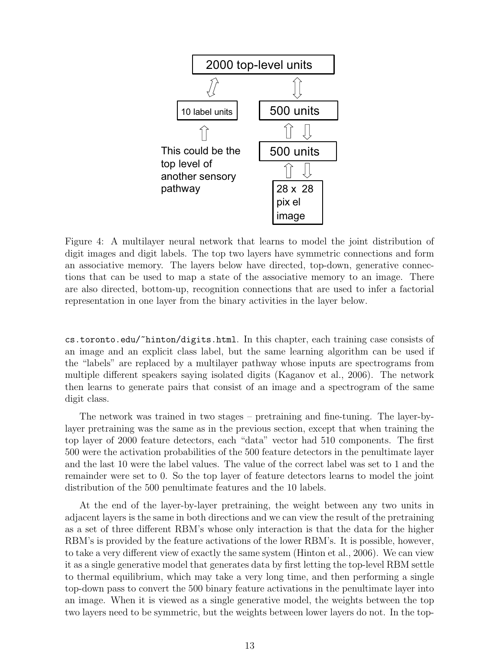

Figure 4: A multilayer neural network that learns to model the joint distribution of digit images and digit labels. The top two layers have symmetric connections and form an associative memory. The layers below have directed, top-down, generative connections that can be used to map a state of the associative memory to an image. There are also directed, bottom-up, recognition connections that are used to infer a factorial representation in one layer from the binary activities in the layer below.

cs.toronto.edu/~hinton/digits.html. In this chapter, each training case consists of an image and an explicit class label, but the same learning algorithm can be used if the "labels" are replaced by a multilayer pathway whose inputs are spectrograms from multiple different speakers saying isolated digits (Kaganov et al., 2006). The network then learns to generate pairs that consist of an image and a spectrogram of the same digit class.

The network was trained in two stages – pretraining and fine-tuning. The layer-bylayer pretraining was the same as in the previous section, except that when training the top layer of 2000 feature detectors, each "data" vector had 510 components. The first 500 were the activation probabilities of the 500 feature detectors in the penultimate layer and the last 10 were the label values. The value of the correct label was set to 1 and the remainder were set to 0. So the top layer of feature detectors learns to model the joint distribution of the 500 penultimate features and the 10 labels.

At the end of the layer-by-layer pretraining, the weight between any two units in adjacent layers is the same in both directions and we can view the result of the pretraining as a set of three different RBM's whose only interaction is that the data for the higher RBM's is provided by the feature activations of the lower RBM's. It is possible, however, to take a very different view of exactly the same system (Hinton et al., 2006). We can view it as a single generative model that generates data by first letting the top-level RBM settle to thermal equilibrium, which may take a very long time, and then performing a single top-down pass to convert the 500 binary feature activations in the penultimate layer into an image. When it is viewed as a single generative model, the weights between the top two layers need to be symmetric, but the weights between lower layers do not. In the top-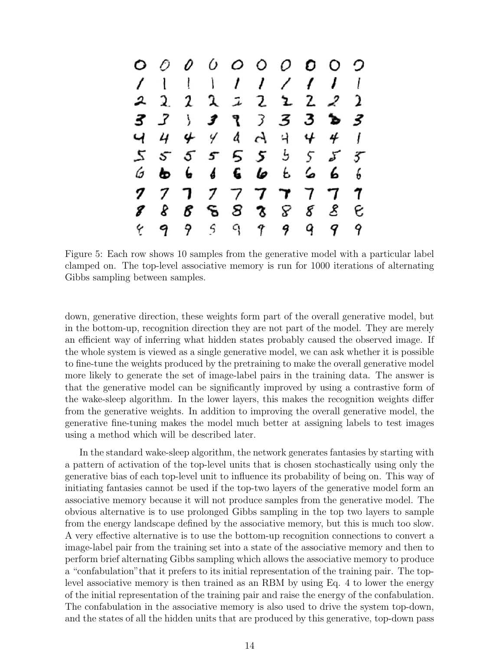

Figure 5: Each row shows 10 samples from the generative model with a particular label clamped on. The top-level associative memory is run for 1000 iterations of alternating Gibbs sampling between samples.

down, generative direction, these weights form part of the overall generative model, but in the bottom-up, recognition direction they are not part of the model. They are merely an efficient way of inferring what hidden states probably caused the observed image. If the whole system is viewed as a single generative model, we can ask whether it is possible to fine-tune the weights produced by the pretraining to make the overall generative model more likely to generate the set of image-label pairs in the training data. The answer is that the generative model can be significantly improved by using a contrastive form of the wake-sleep algorithm. In the lower layers, this makes the recognition weights differ from the generative weights. In addition to improving the overall generative model, the generative fine-tuning makes the model much better at assigning labels to test images using a method which will be described later.

In the standard wake-sleep algorithm, the network generates fantasies by starting with a pattern of activation of the top-level units that is chosen stochastically using only the generative bias of each top-level unit to influence its probability of being on. This way of initiating fantasies cannot be used if the top-two layers of the generative model form an associative memory because it will not produce samples from the generative model. The obvious alternative is to use prolonged Gibbs sampling in the top two layers to sample from the energy landscape defined by the associative memory, but this is much too slow. A very effective alternative is to use the bottom-up recognition connections to convert a image-label pair from the training set into a state of the associative memory and then to perform brief alternating Gibbs sampling which allows the associative memory to produce a "confabulation"that it prefers to its initial representation of the training pair. The toplevel associative memory is then trained as an RBM by using Eq. 4 to lower the energy of the initial representation of the training pair and raise the energy of the confabulation. The confabulation in the associative memory is also used to drive the system top-down, and the states of all the hidden units that are produced by this generative, top-down pass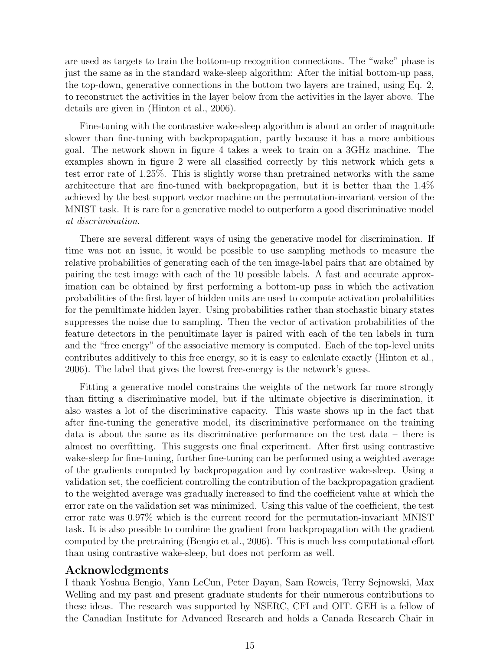are used as targets to train the bottom-up recognition connections. The "wake" phase is just the same as in the standard wake-sleep algorithm: After the initial bottom-up pass, the top-down, generative connections in the bottom two layers are trained, using Eq. 2, to reconstruct the activities in the layer below from the activities in the layer above. The details are given in (Hinton et al., 2006).

Fine-tuning with the contrastive wake-sleep algorithm is about an order of magnitude slower than fine-tuning with backpropagation, partly because it has a more ambitious goal. The network shown in figure 4 takes a week to train on a 3GHz machine. The examples shown in figure 2 were all classified correctly by this network which gets a test error rate of 1.25%. This is slightly worse than pretrained networks with the same architecture that are fine-tuned with backpropagation, but it is better than the 1.4% achieved by the best support vector machine on the permutation-invariant version of the MNIST task. It is rare for a generative model to outperform a good discriminative model at discrimination.

There are several different ways of using the generative model for discrimination. If time was not an issue, it would be possible to use sampling methods to measure the relative probabilities of generating each of the ten image-label pairs that are obtained by pairing the test image with each of the 10 possible labels. A fast and accurate approximation can be obtained by first performing a bottom-up pass in which the activation probabilities of the first layer of hidden units are used to compute activation probabilities for the penultimate hidden layer. Using probabilities rather than stochastic binary states suppresses the noise due to sampling. Then the vector of activation probabilities of the feature detectors in the penultimate layer is paired with each of the ten labels in turn and the "free energy" of the associative memory is computed. Each of the top-level units contributes additively to this free energy, so it is easy to calculate exactly (Hinton et al., 2006). The label that gives the lowest free-energy is the network's guess.

Fitting a generative model constrains the weights of the network far more strongly than fitting a discriminative model, but if the ultimate objective is discrimination, it also wastes a lot of the discriminative capacity. This waste shows up in the fact that after fine-tuning the generative model, its discriminative performance on the training data is about the same as its discriminative performance on the test data – there is almost no overfitting. This suggests one final experiment. After first using contrastive wake-sleep for fine-tuning, further fine-tuning can be performed using a weighted average of the gradients computed by backpropagation and by contrastive wake-sleep. Using a validation set, the coefficient controlling the contribution of the backpropagation gradient to the weighted average was gradually increased to find the coefficient value at which the error rate on the validation set was minimized. Using this value of the coefficient, the test error rate was 0.97% which is the current record for the permutation-invariant MNIST task. It is also possible to combine the gradient from backpropagation with the gradient computed by the pretraining (Bengio et al., 2006). This is much less computational effort than using contrastive wake-sleep, but does not perform as well.

#### Acknowledgments

I thank Yoshua Bengio, Yann LeCun, Peter Dayan, Sam Roweis, Terry Sejnowski, Max Welling and my past and present graduate students for their numerous contributions to these ideas. The research was supported by NSERC, CFI and OIT. GEH is a fellow of the Canadian Institute for Advanced Research and holds a Canada Research Chair in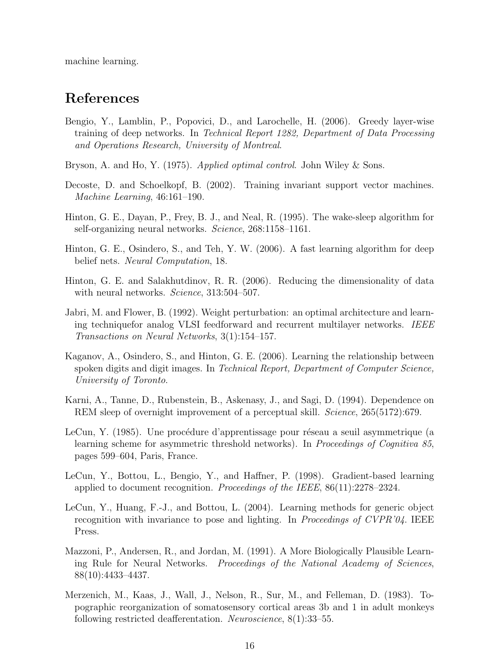machine learning.

## References

- Bengio, Y., Lamblin, P., Popovici, D., and Larochelle, H. (2006). Greedy layer-wise training of deep networks. In Technical Report 1282, Department of Data Processing and Operations Research, University of Montreal.
- Bryson, A. and Ho, Y. (1975). Applied optimal control. John Wiley & Sons.
- Decoste, D. and Schoelkopf, B. (2002). Training invariant support vector machines. Machine Learning, 46:161–190.
- Hinton, G. E., Dayan, P., Frey, B. J., and Neal, R. (1995). The wake-sleep algorithm for self-organizing neural networks. Science, 268:1158–1161.
- Hinton, G. E., Osindero, S., and Teh, Y. W. (2006). A fast learning algorithm for deep belief nets. Neural Computation, 18.
- Hinton, G. E. and Salakhutdinov, R. R. (2006). Reducing the dimensionality of data with neural networks. Science, 313:504-507.
- Jabri, M. and Flower, B. (1992). Weight perturbation: an optimal architecture and learning techniquefor analog VLSI feedforward and recurrent multilayer networks. IEEE Transactions on Neural Networks, 3(1):154–157.
- Kaganov, A., Osindero, S., and Hinton, G. E. (2006). Learning the relationship between spoken digits and digit images. In Technical Report, Department of Computer Science, University of Toronto.
- Karni, A., Tanne, D., Rubenstein, B., Askenasy, J., and Sagi, D. (1994). Dependence on REM sleep of overnight improvement of a perceptual skill. *Science*, 265(5172):679.
- LeCun, Y. (1985). Une procédure d'apprentissage pour réseau a seuil asymmetrique (a learning scheme for asymmetric threshold networks). In *Proceedings of Cognitiva 85*, pages 599–604, Paris, France.
- LeCun, Y., Bottou, L., Bengio, Y., and Haffner, P. (1998). Gradient-based learning applied to document recognition. Proceedings of the IEEE, 86(11):2278–2324.
- LeCun, Y., Huang, F.-J., and Bottou, L. (2004). Learning methods for generic object recognition with invariance to pose and lighting. In *Proceedings of CVPR'04*. IEEE Press.
- Mazzoni, P., Andersen, R., and Jordan, M. (1991). A More Biologically Plausible Learning Rule for Neural Networks. Proceedings of the National Academy of Sciences, 88(10):4433–4437.
- Merzenich, M., Kaas, J., Wall, J., Nelson, R., Sur, M., and Felleman, D. (1983). Topographic reorganization of somatosensory cortical areas 3b and 1 in adult monkeys following restricted deafferentation. Neuroscience, 8(1):33–55.